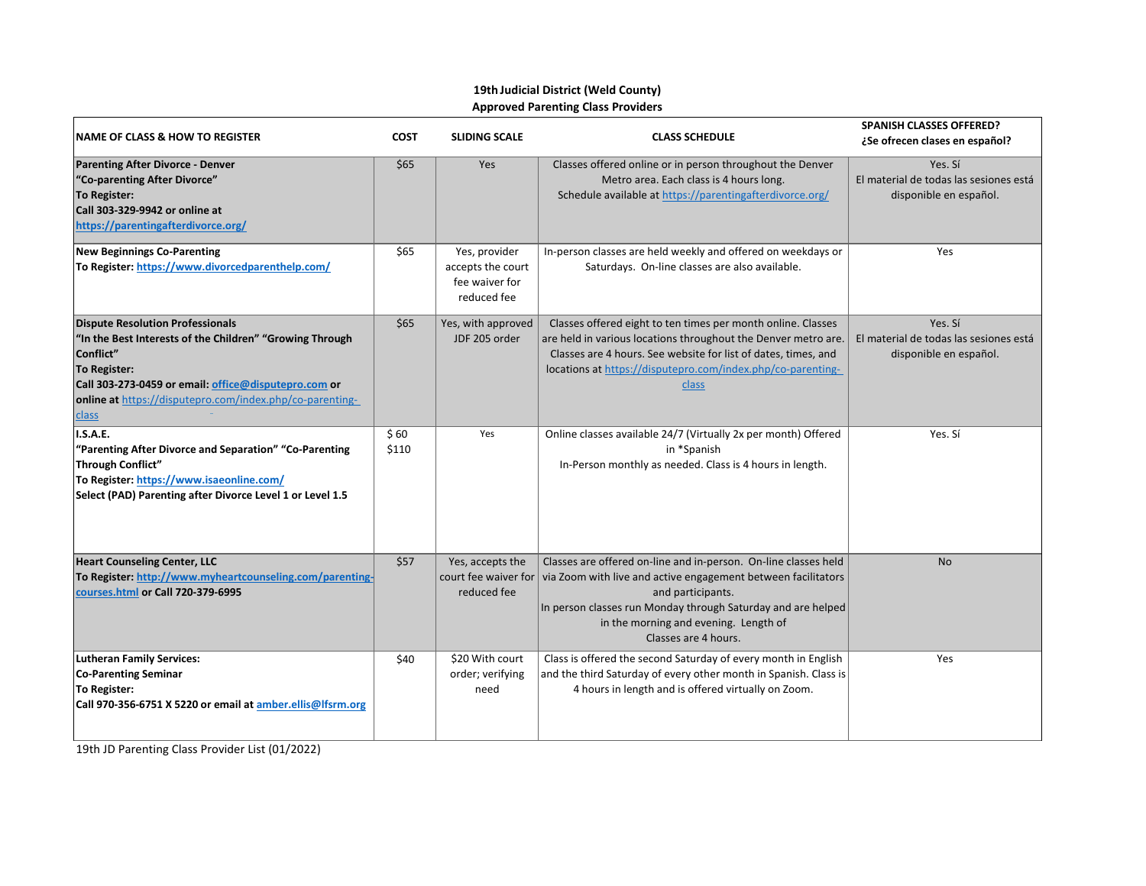## **19th Judicial District (Weld County) Approved Parenting Class Providers**

| <b>NAME OF CLASS &amp; HOW TO REGISTER</b>                                                                                                                                                                                                                    | <b>COST</b>   | <b>SLIDING SCALE</b>                                                | <b>CLASS SCHEDULE</b>                                                                                                                                                                                                                                                                  | <b>SPANISH CLASSES OFFERED?</b><br>¿Se ofrecen clases en español?           |
|---------------------------------------------------------------------------------------------------------------------------------------------------------------------------------------------------------------------------------------------------------------|---------------|---------------------------------------------------------------------|----------------------------------------------------------------------------------------------------------------------------------------------------------------------------------------------------------------------------------------------------------------------------------------|-----------------------------------------------------------------------------|
| <b>Parenting After Divorce - Denver</b><br>"Co-parenting After Divorce"<br><b>To Register:</b><br>Call 303-329-9942 or online at<br>https://parentingafterdivorce.org/                                                                                        | \$65          | Yes                                                                 | Classes offered online or in person throughout the Denver<br>Metro area. Each class is 4 hours long.<br>Schedule available at https://parentingafterdivorce.org/                                                                                                                       | Yes. Sí<br>El material de todas las sesiones está<br>disponible en español. |
| <b>New Beginnings Co-Parenting</b><br>To Register: https://www.divorcedparenthelp.com/                                                                                                                                                                        | \$65          | Yes, provider<br>accepts the court<br>fee waiver for<br>reduced fee | In-person classes are held weekly and offered on weekdays or<br>Saturdays. On-line classes are also available.                                                                                                                                                                         | Yes                                                                         |
| <b>Dispute Resolution Professionals</b><br>"In the Best Interests of the Children" "Growing Through<br>Conflict"<br>To Register:<br>Call 303-273-0459 or email: office@disputepro.com or<br>online at https://disputepro.com/index.php/co-parenting-<br>class | \$65          | Yes, with approved<br>JDF 205 order                                 | Classes offered eight to ten times per month online. Classes<br>are held in various locations throughout the Denver metro are.<br>Classes are 4 hours. See website for list of dates, times, and<br>locations at https://disputepro.com/index.php/co-parenting-<br>class               | Yes. Sí<br>El material de todas las sesiones está<br>disponible en español. |
| <b>I.S.A.E.</b><br>"Parenting After Divorce and Separation" "Co-Parenting<br><b>Through Conflict"</b><br>To Register: https://www.isaeonline.com/<br>Select (PAD) Parenting after Divorce Level 1 or Level 1.5                                                | \$60<br>\$110 | Yes                                                                 | Online classes available 24/7 (Virtually 2x per month) Offered<br>in *Spanish<br>In-Person monthly as needed. Class is 4 hours in length.                                                                                                                                              | Yes. Sí                                                                     |
| <b>Heart Counseling Center, LLC</b><br>To Register: http://www.myheartcounseling.com/parenting-<br>courses.html or Call 720-379-6995                                                                                                                          | \$57          | Yes, accepts the<br>court fee waiver for<br>reduced fee             | Classes are offered on-line and in-person. On-line classes held<br>via Zoom with live and active engagement between facilitators<br>and participants.<br>In person classes run Monday through Saturday and are helped<br>in the morning and evening. Length of<br>Classes are 4 hours. | <b>No</b>                                                                   |
| <b>Lutheran Family Services:</b><br><b>Co-Parenting Seminar</b><br>To Register:<br>Call 970-356-6751 X 5220 or email at amber.ellis@lfsrm.org                                                                                                                 | \$40          | \$20 With court<br>order; verifying<br>need                         | Class is offered the second Saturday of every month in English<br>and the third Saturday of every other month in Spanish. Class is<br>4 hours in length and is offered virtually on Zoom.                                                                                              | Yes                                                                         |

19th JD Parenting Class Provider List (01/2022)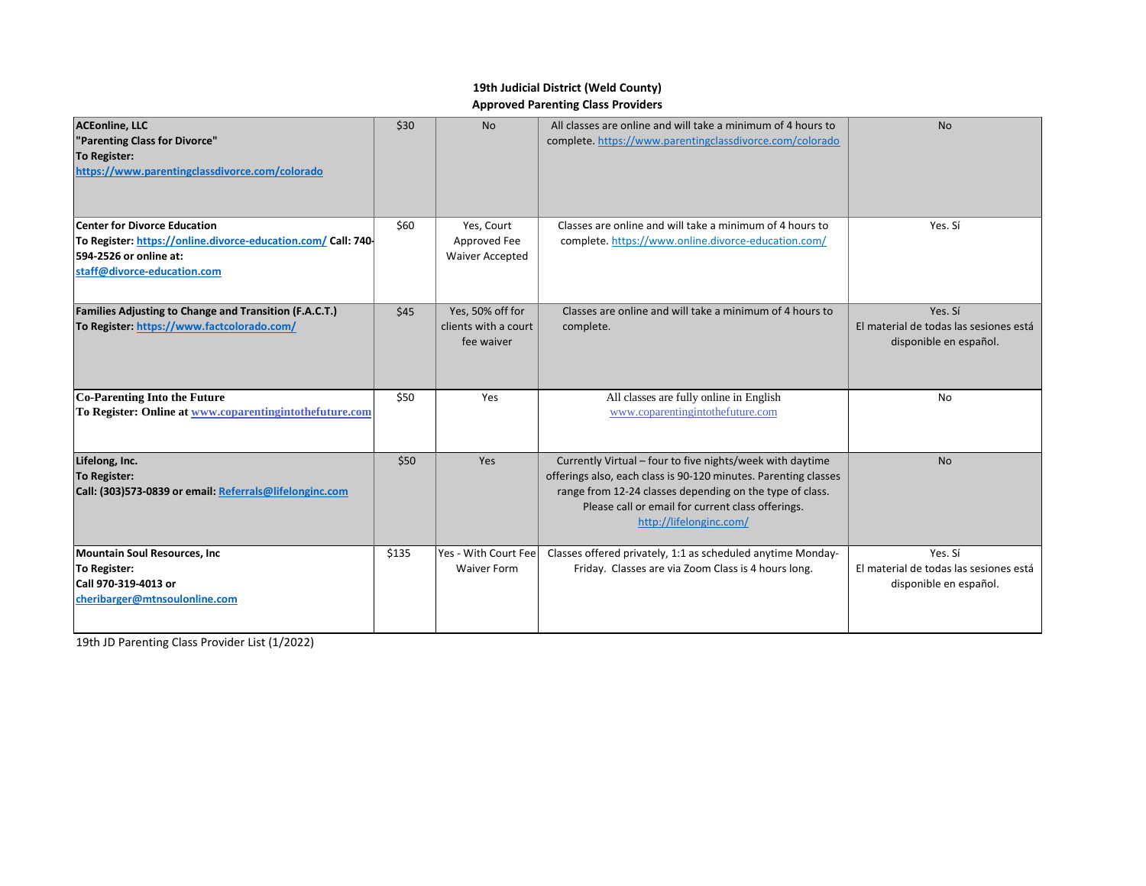## **19th Judicial District (Weld County) Approved Parenting Class Providers**

| <b>ACEonline, LLC</b><br>"Parenting Class for Divorce"<br>To Register:<br>https://www.parentingclassdivorce.com/colorado                                     | \$30  | No                                                     | All classes are online and will take a minimum of 4 hours to<br>complete. https://www.parentingclassdivorce.com/colorado                                                                                                                                                 | <b>No</b>                                                                   |
|--------------------------------------------------------------------------------------------------------------------------------------------------------------|-------|--------------------------------------------------------|--------------------------------------------------------------------------------------------------------------------------------------------------------------------------------------------------------------------------------------------------------------------------|-----------------------------------------------------------------------------|
| <b>Center for Divorce Education</b><br>To Register: https://online.divorce-education.com/ Call: 740<br>594-2526 or online at:<br>staff@divorce-education.com | \$60  | Yes, Court<br>Approved Fee<br><b>Waiver Accepted</b>   | Classes are online and will take a minimum of 4 hours to<br>complete. https://www.online.divorce-education.com/                                                                                                                                                          | Yes. Sí                                                                     |
| <b>Families Adjusting to Change and Transition (F.A.C.T.)</b><br>To Register: https://www.factcolorado.com/                                                  | \$45  | Yes, 50% off for<br>clients with a court<br>fee waiver | Classes are online and will take a minimum of 4 hours to<br>complete.                                                                                                                                                                                                    | Yes. Sí<br>El material de todas las sesiones está<br>disponible en español. |
| <b>Co-Parenting Into the Future</b><br>To Register: Online at www.coparentingintothefuture.com                                                               | \$50  | Yes                                                    | All classes are fully online in English<br>www.coparentingintothefuture.com                                                                                                                                                                                              | <b>No</b>                                                                   |
| Lifelong, Inc.<br><b>To Register:</b><br>Call: (303)573-0839 or email: Referrals@lifelonginc.com                                                             | \$50  | Yes                                                    | Currently Virtual - four to five nights/week with daytime<br>offerings also, each class is 90-120 minutes. Parenting classes<br>range from 12-24 classes depending on the type of class.<br>Please call or email for current class offerings.<br>http://lifelonginc.com/ | <b>No</b>                                                                   |
| <b>Mountain Soul Resources, Inc.</b><br>To Register:<br>Call 970-319-4013 or<br>cheribarger@mtnsoulonline.com                                                | \$135 | Yes - With Court Fee<br><b>Waiver Form</b>             | Classes offered privately, 1:1 as scheduled anytime Monday-<br>Friday. Classes are via Zoom Class is 4 hours long.                                                                                                                                                       | Yes. Sí<br>El material de todas las sesiones está<br>disponible en español. |

19th JD Parenting Class Provider List (1/2022)